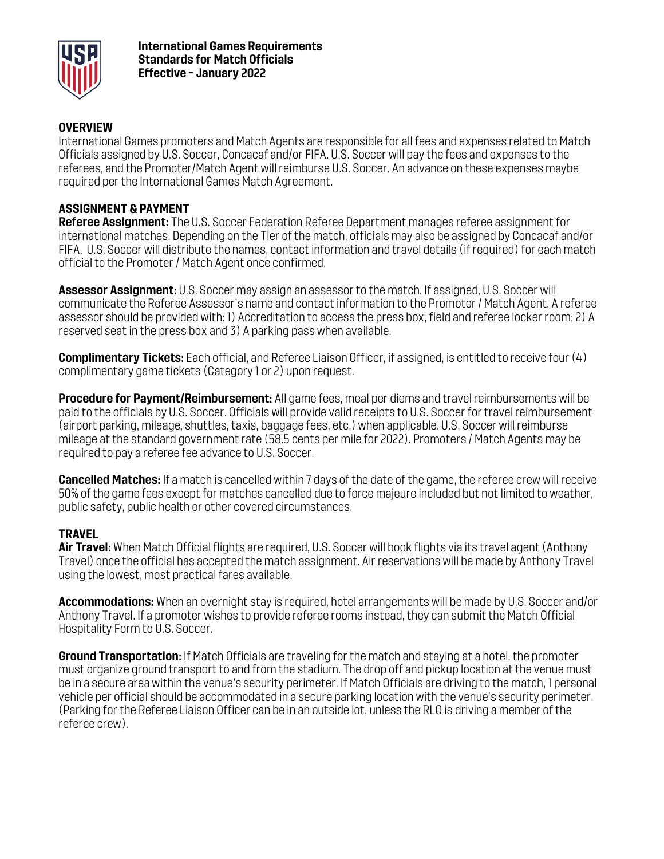

### **OVERVIEW**

International Games promoters and Match Agents are responsible for all fees and expenses related to Match Officials assigned by U.S. Soccer, Concacaf and/or FIFA. U.S. Soccer will pay the fees and expenses to the referees, and the Promoter/Match Agent will reimburse U.S. Soccer. An advance on these expenses maybe required per the International Games Match Agreement.

#### **ASSIGNMENT & PAYMENT**

**Referee Assignment:** The U.S. Soccer Federation Referee Department manages referee assignment for international matches. Depending on the Tier of the match, officials may also be assigned by Concacaf and/or FIFA. U.S. Soccer will distribute the names, contact information and travel details (if required) for each match official to the Promoter / Match Agent once confirmed.

**Assessor Assignment:** U.S. Soccer may assign an assessor to the match. If assigned, U.S. Soccer will communicate the Referee Assessor's name and contact information to the Promoter / Match Agent. A referee assessor should be provided with: 1) Accreditation to access the press box, field and referee locker room; 2) A reserved seat in the press box and 3) A parking pass when available.

**Complimentary Tickets:** Each official, and Referee Liaison Officer, if assigned, is entitled to receive four (4) complimentary game tickets (Category 1 or 2) upon request.

**Procedure for Payment/Reimbursement:** All game fees, meal per diems and travel reimbursements will be paid to the officials by U.S. Soccer. Officials will provide valid receipts to U.S. Soccer for travel reimbursement (airport parking, mileage, shuttles, taxis, baggage fees, etc.) when applicable. U.S. Soccer will reimburse mileage at the standard government rate (58.5 cents per mile for 2022). Promoters / Match Agents may be required to pay a referee fee advance to U.S. Soccer.

**Cancelled Matches:** If a match is cancelled within 7 days of the date of the game, the referee crew will receive 50% of the game fees except for matches cancelled due to force majeure included but not limited to weather, public safety, public health or other covered circumstances.

#### **TRAVEL**

**Air Travel:** When Match Official flights are required, U.S. Soccer will book flights via its travel agent (Anthony Travel) once the official has accepted the match assignment. Air reservations will be made by Anthony Travel using the lowest, most practical fares available.

**Accommodations:** When an overnight stay is required, hotel arrangements will be made by U.S. Soccer and/or Anthony Travel. If a promoter wishes to provide referee rooms instead, they can submit the Match Official Hospitality Form to U.S. Soccer.

**Ground Transportation:** If Match Officials are traveling for the match and staying at a hotel, the promoter must organize ground transport to and from the stadium. The drop off and pickup location at the venue must be in a secure area within the venue's security perimeter. If Match Officials are driving to the match, 1 personal vehicle per official should be accommodated in a secure parking location with the venue's security perimeter. (Parking for the Referee Liaison Officer can be in an outside lot, unless the RLO is driving a member of the referee crew).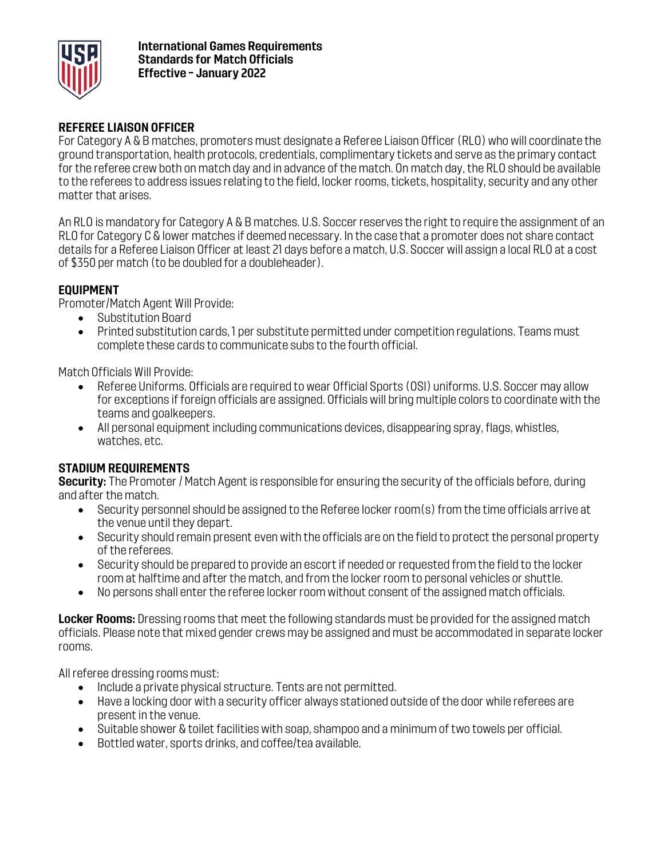

### **REFEREE LIAISON OFFICER**

For Category A & B matches, promoters must designate a Referee Liaison Officer (RLO) who will coordinate the ground transportation, health protocols, credentials, complimentary tickets and serve as the primary contact for the referee crew both on match day and in advance of the match. On match day, the RLO should be available to the referees to address issues relating to the field, locker rooms, tickets, hospitality, security and any other matter that arises.

An RLO is mandatory for Category A & B matches. U.S. Soccer reserves the right to require the assignment of an RLO for Category C & lower matches if deemed necessary. In the case that a promoter does not share contact details for a Referee Liaison Officer at least 21 days before a match, U.S. Soccer will assign a local RLO at a cost of \$350 per match (to be doubled for a doubleheader).

### **EQUIPMENT**

Promoter/Match Agent Will Provide:

- Substitution Board
- Printed substitution cards, 1 per substitute permitted under competition regulations. Teams must complete these cards to communicate subs to the fourth official.

Match Officials Will Provide:

- Referee Uniforms. Officials are required to wear Official Sports (OSI) uniforms. U.S. Soccer may allow for exceptions if foreign officials are assigned. Officials will bring multiple colors to coordinate with the teams and goalkeepers.
- All personal equipment including communications devices, disappearing spray, flags, whistles, watches, etc.

## **STADIUM REQUIREMENTS**

**Security:** The Promoter / Match Agent is responsible for ensuring the security of the officials before, during and after the match.

- Security personnel should be assigned to the Referee locker room(s) from the time officials arrive at the venue until they depart.
- Security should remain present even with the officials are on the field to protect the personal property of the referees.
- Security should be prepared to provide an escort if needed or requested from the field to the locker room at halftime and after the match, and from the locker room to personal vehicles or shuttle.
- No persons shall enter the referee locker room without consent of the assigned match officials.

**Locker Rooms:** Dressing rooms that meet the following standards must be provided for the assigned match officials. Please note that mixed gender crews may be assigned and must be accommodated in separate locker rooms.

All referee dressing rooms must:

- Include a private physical structure. Tents are not permitted.
- Have a locking door with a security officer always stationed outside of the door while referees are present in the venue.
- Suitable shower & toilet facilities with soap, shampoo and a minimum of two towels per official.
- Bottled water, sports drinks, and coffee/tea available.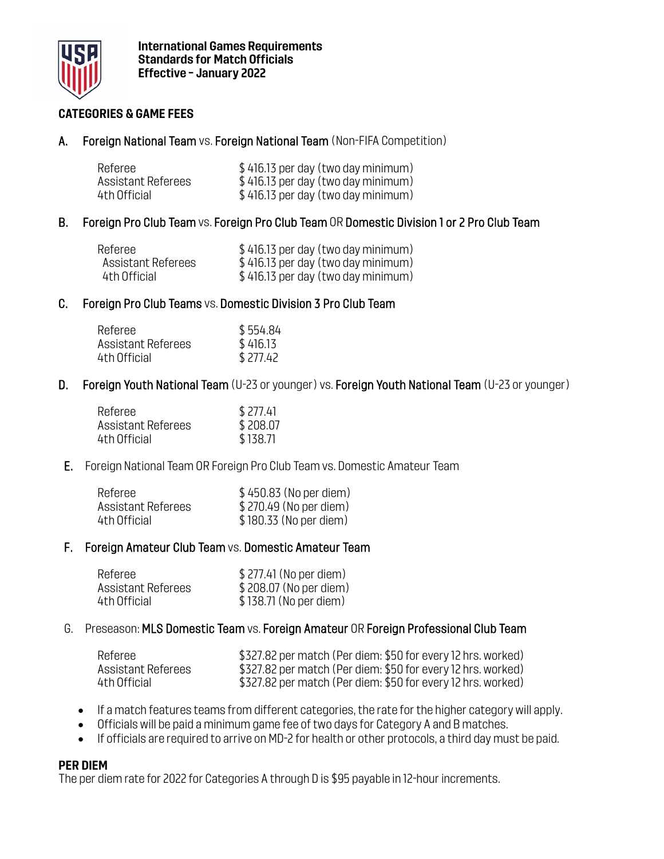

### **CATEGORIES & GAME FEES**

A. Foreign National Team vs. Foreign National Team (Non-FIFA Competition)

| Referee            | \$416.13 per day (two day minimum) |
|--------------------|------------------------------------|
| Assistant Referees | \$416.13 per day (two day minimum) |
| 4th Official       | \$416.13 per day (two day minimum) |

B. Foreign Pro Club Team vs. Foreign Pro Club Team OR Domestic Division 1 or 2 Pro Club Team

| Referee            | \$416.13 per day (two day minimum) |
|--------------------|------------------------------------|
| Assistant Referees | \$416.13 per day (two day minimum) |
| 4th Official       | \$416.13 per day (two day minimum) |

#### C. Foreign Pro Club Teams vs. Domestic Division 3 Pro Club Team

| Referee                   | \$554.84 |
|---------------------------|----------|
| <b>Assistant Referees</b> | \$416.13 |
| 4th Official              | \$277.42 |

D. Foreign Youth National Team (U-23 or younger) vs. Foreign Youth National Team (U-23 or younger)

| Referee            | \$277.41 |
|--------------------|----------|
| Assistant Referees | \$208.07 |
| 4th Official       | \$138.71 |

E. Foreign National Team OR Foreign Pro Club Team vs. Domestic Amateur Team

| Referee            | \$450.83 (No per diem) |
|--------------------|------------------------|
| Assistant Referees | \$270.49 (No per diem) |
| 4th Official       | \$180.33 (No per diem) |

#### F. Foreign Amateur Club Team vs. Domestic Amateur Team

| Referee            | \$277.41 (No per diem) |
|--------------------|------------------------|
| Assistant Referees | \$208.07 (No per diem) |
| 4th Official       | \$138.71 (No per diem) |

#### G. Preseason: MLS Domestic Team vs. Foreign Amateur OR Foreign Professional Club Team

| Referee            | \$327.82 per match (Per diem: \$50 for every 12 hrs. worked) |
|--------------------|--------------------------------------------------------------|
| Assistant Referees | \$327.82 per match (Per diem: \$50 for every 12 hrs. worked) |
| 4th Official       | \$327.82 per match (Per diem: \$50 for every 12 hrs. worked) |

- If a match features teams from different categories, the rate for the higher category will apply.
- Officials will be paid a minimum game fee of two days for Category A and B matches.
- If officials are required to arrive on MD-2 for health or other protocols, a third day must be paid.

#### **PER DIEM**

The per diem rate for 2022 for Categories A through D is \$95 payable in 12-hour increments.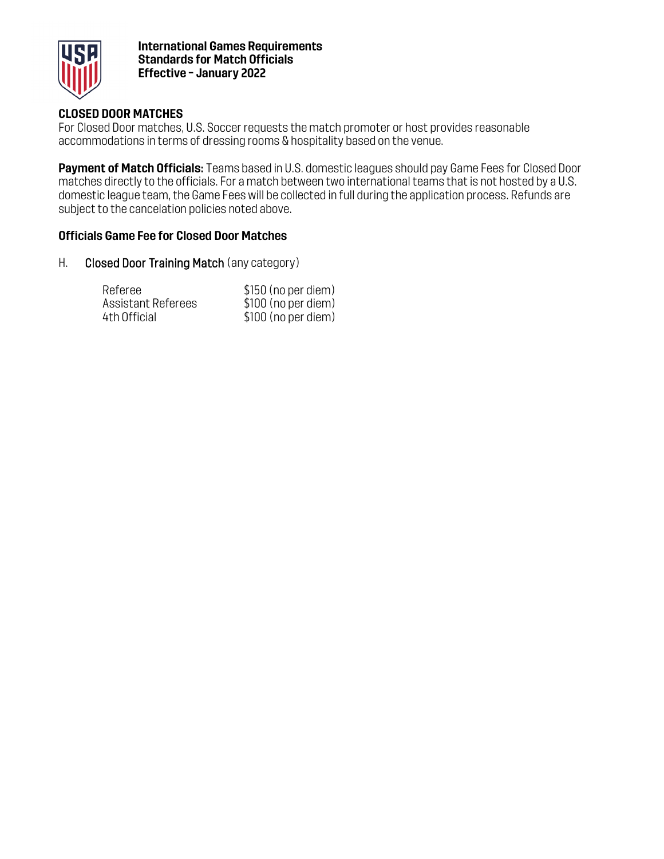

**International Games Requirements Standards for Match Officials Effective – January 2022**

### **CLOSED DOOR MATCHES**

For Closed Door matches, U.S. Soccer requests the match promoter or host provides reasonable accommodations in terms of dressing rooms & hospitality based on the venue.

**Payment of Match Officials:** Teams based in U.S. domestic leagues should pay Game Fees for Closed Door matches directly to the officials. For a match between two international teams that is not hosted by a U.S. domestic league team, the Game Fees will be collected in full during the application process. Refunds are subject to the cancelation policies noted above.

#### **Officials Game Fee for Closed Door Matches**

H. Closed Door Training Match (any category)

| Referee            | $$150$ (no per diem) |
|--------------------|----------------------|
| Assistant Referees | \$100 (no per diem)  |
| 4th Official       | $$100$ (no per diem) |